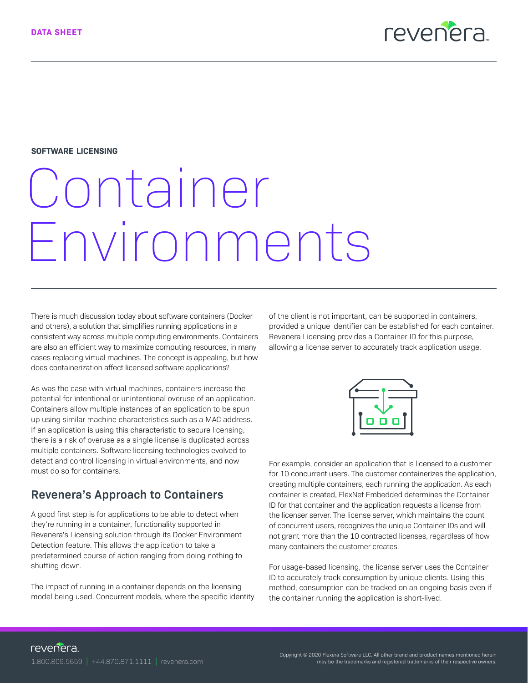

#### **SOFTWARE LICENSING**

# Container Environments

There is much discussion today about software containers (Docker and others), a solution that simplifies running applications in a consistent way across multiple computing environments. Containers are also an efficient way to maximize computing resources, in many cases replacing virtual machines. The concept is appealing, but how does containerization affect licensed software applications?

As was the case with virtual machines, containers increase the potential for intentional or unintentional overuse of an application. Containers allow multiple instances of an application to be spun up using similar machine characteristics such as a MAC address. If an application is using this characteristic to secure licensing, there is a risk of overuse as a single license is duplicated across multiple containers. Software licensing technologies evolved to detect and control licensing in virtual environments, and now must do so for containers.

### **Revenera's Approach to Containers**

A good first step is for applications to be able to detect when they're running in a container, functionality supported in Revenera's Licensing solution through its Docker Environment Detection feature. This allows the application to take a predetermined course of action ranging from doing nothing to shutting down.

The impact of running in a container depends on the licensing model being used. Concurrent models, where the specific identity of the client is not important, can be supported in containers, provided a unique identifier can be established for each container. Revenera Licensing provides a Container ID for this purpose, allowing a license server to accurately track application usage.



For example, consider an application that is licensed to a customer for 10 concurrent users. The customer containerizes the application, creating multiple containers, each running the application. As each container is created, FlexNet Embedded determines the Container ID for that container and the application requests a license from the licenser server. The license server, which maintains the count of concurrent users, recognizes the unique Container IDs and will not grant more than the 10 contracted licenses, regardless of how many containers the customer creates.

For usage-based licensing, the license server uses the Container ID to accurately track consumption by unique clients. Using this method, consumption can be tracked on an ongoing basis even if the container running the application is short-lived.